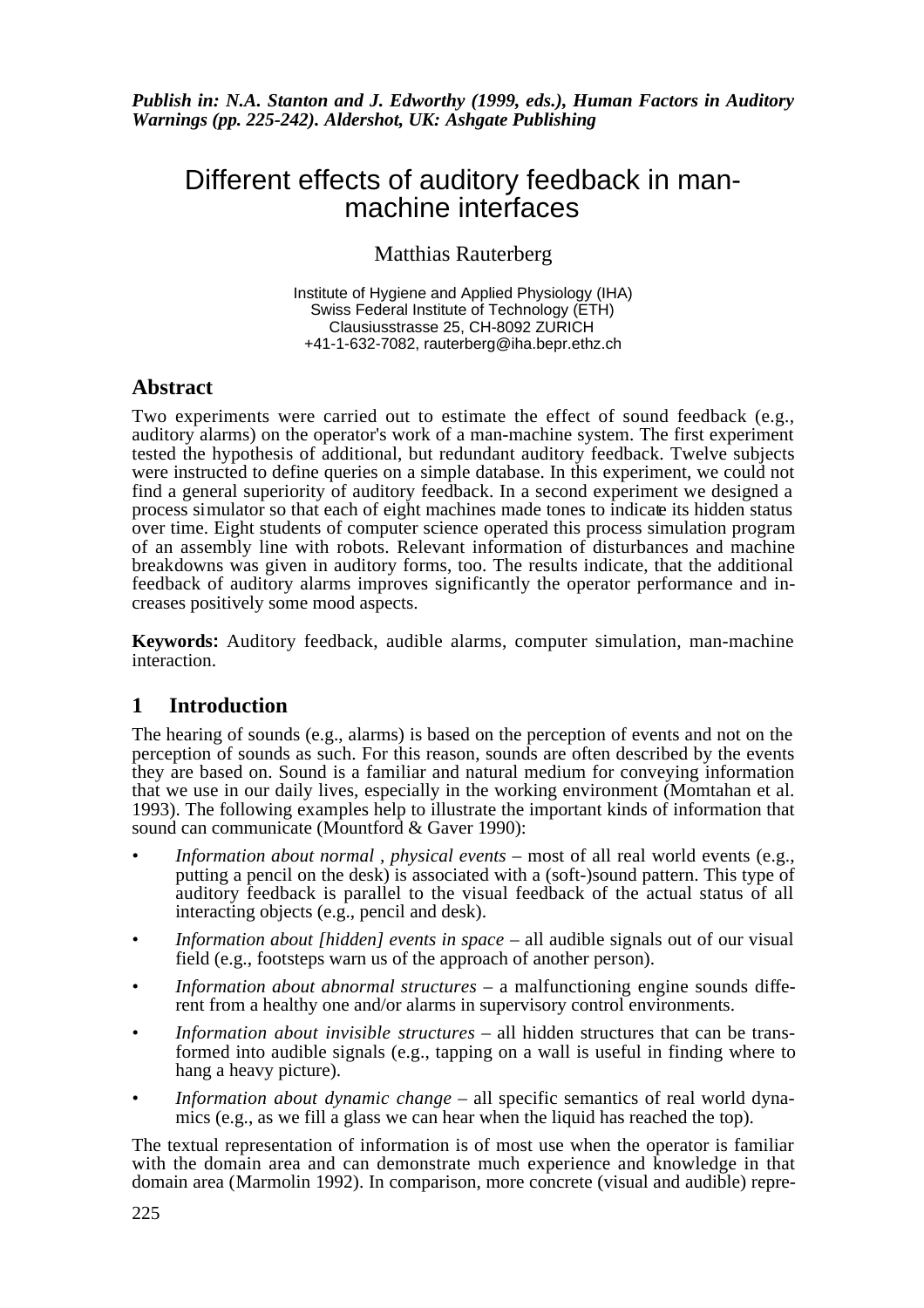# Different effects of auditory feedback in manmachine interfaces

### Matthias Rauterberg

Institute of Hygiene and Applied Physiology (IHA) Swiss Federal Institute of Technology (ETH) Clausiusstrasse 25, CH-8092 ZURICH +41-1-632-7082, rauterberg@iha.bepr.ethz.ch

### **Abstract**

Two experiments were carried out to estimate the effect of sound feedback (e.g., auditory alarms) on the operator's work of a man-machine system. The first experiment tested the hypothesis of additional, but redundant auditory feedback. Twelve subjects were instructed to define queries on a simple database. In this experiment, we could not find a general superiority of auditory feedback. In a second experiment we designed a process simulator so that each of eight machines made tones to indicate its hidden status over time. Eight students of computer science operated this process simulation program of an assembly line with robots. Relevant information of disturbances and machine breakdowns was given in auditory forms, too. The results indicate, that the additional feedback of auditory alarms improves significantly the operator performance and increases positively some mood aspects.

**Keywords:** Auditory feedback, audible alarms, computer simulation, man-machine interaction.

### **1 Introduction**

The hearing of sounds (e.g., alarms) is based on the perception of events and not on the perception of sounds as such. For this reason, sounds are often described by the events they are based on. Sound is a familiar and natural medium for conveying information that we use in our daily lives, especially in the working environment (Momtahan et al. 1993). The following examples help to illustrate the important kinds of information that sound can communicate (Mountford & Gaver 1990):

- *Information about normal , physical events* most of all real world events (e.g., putting a pencil on the desk) is associated with a (soft-)sound pattern. This type of auditory feedback is parallel to the visual feedback of the actual status of all interacting objects (e.g., pencil and desk).
- *Information about [hidden] events in space* all audible signals out of our visual field (e.g., footsteps warn us of the approach of another person).
- *Information about abnormal structures* a malfunctioning engine sounds different from a healthy one and/or alarms in supervisory control environments.
- *Information about invisible structures* all hidden structures that can be transformed into audible signals (e.g., tapping on a wall is useful in finding where to hang a heavy picture).
- *Information about dynamic change* all specific semantics of real world dynamics (e.g., as we fill a glass we can hear when the liquid has reached the top).

The textual representation of information is of most use when the operator is familiar with the domain area and can demonstrate much experience and knowledge in that domain area (Marmolin 1992). In comparison, more concrete (visual and audible) repre-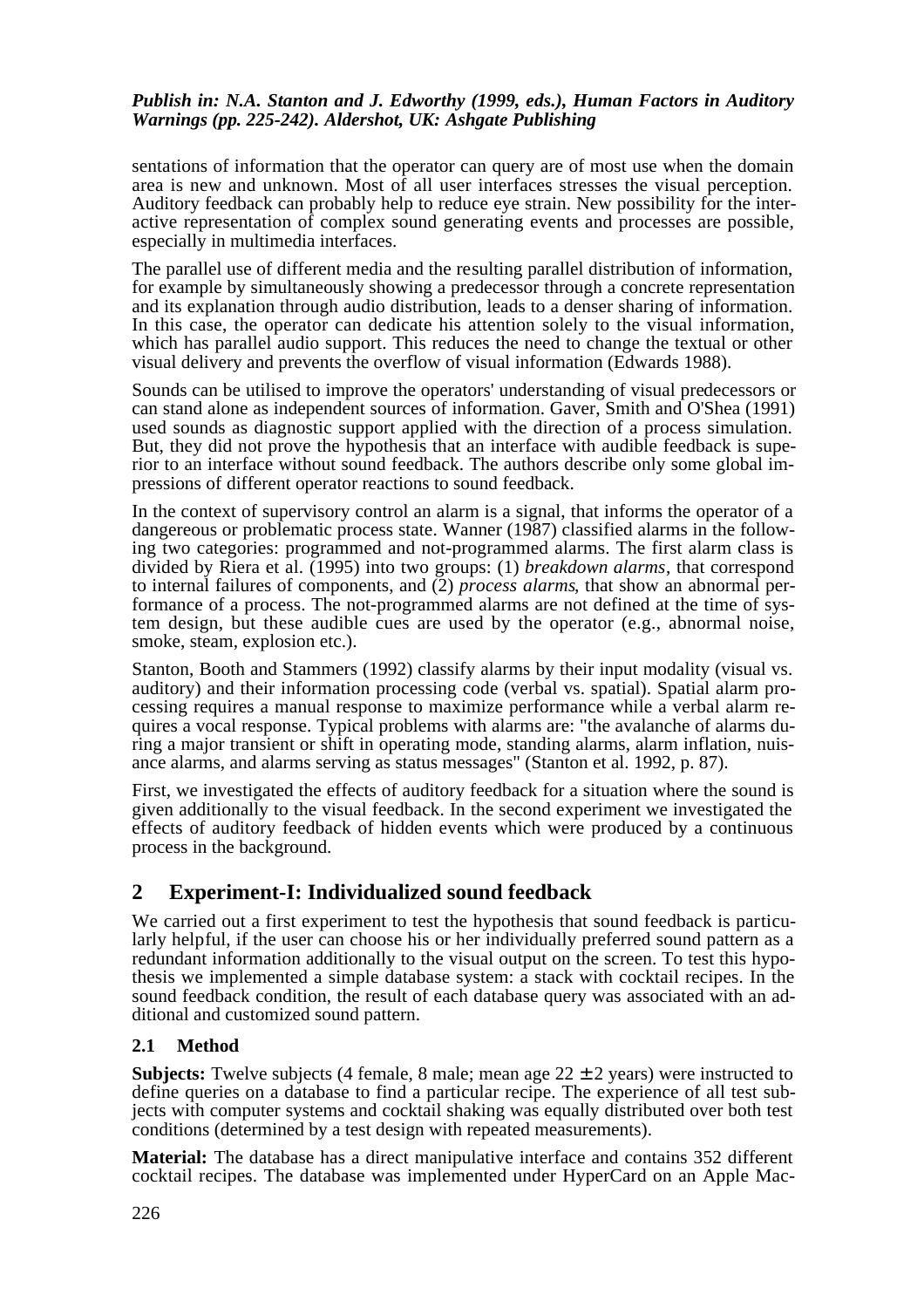sentations of information that the operator can query are of most use when the domain area is new and unknown. Most of all user interfaces stresses the visual perception. Auditory feedback can probably help to reduce eye strain. New possibility for the interactive representation of complex sound generating events and processes are possible, especially in multimedia interfaces.

The parallel use of different media and the resulting parallel distribution of information, for example by simultaneously showing a predecessor through a concrete representation and its explanation through audio distribution, leads to a denser sharing of information. In this case, the operator can dedicate his attention solely to the visual information, which has parallel audio support. This reduces the need to change the textual or other visual delivery and prevents the overflow of visual information (Edwards 1988).

Sounds can be utilised to improve the operators' understanding of visual predecessors or can stand alone as independent sources of information. Gaver, Smith and O'Shea (1991) used sounds as diagnostic support applied with the direction of a process simulation. But, they did not prove the hypothesis that an interface with audible feedback is superior to an interface without sound feedback. The authors describe only some global impressions of different operator reactions to sound feedback.

In the context of supervisory control an alarm is a signal, that informs the operator of a dangereous or problematic process state. Wanner (1987) classified alarms in the following two categories: programmed and not-programmed alarms. The first alarm class is divided by Riera et al. (1995) into two groups: (1) *breakdown alarms*, that correspond to internal failures of components, and (2) *process alarms*, that show an abnormal performance of a process. The not-programmed alarms are not defined at the time of system design, but these audible cues are used by the operator (e.g., abnormal noise, smoke, steam, explosion etc.).

Stanton, Booth and Stammers (1992) classify alarms by their input modality (visual vs. auditory) and their information processing code (verbal vs. spatial). Spatial alarm processing requires a manual response to maximize performance while a verbal alarm requires a vocal response. Typical problems with alarms are: "the avalanche of alarms during a major transient or shift in operating mode, standing alarms, alarm inflation, nuisance alarms, and alarms serving as status messages" (Stanton et al. 1992, p. 87).

First, we investigated the effects of auditory feedback for a situation where the sound is given additionally to the visual feedback. In the second experiment we investigated the effects of auditory feedback of hidden events which were produced by a continuous process in the background.

### **2 Experiment-I: Individualized sound feedback**

We carried out a first experiment to test the hypothesis that sound feedback is particularly helpful, if the user can choose his or her individually preferred sound pattern as a redundant information additionally to the visual output on the screen. To test this hypothesis we implemented a simple database system: a stack with cocktail recipes. In the sound feedback condition, the result of each database query was associated with an additional and customized sound pattern.

### **2.1 Method**

**Subjects:** Twelve subjects (4 female, 8 male; mean age  $22 \pm 2$  years) were instructed to define queries on a database to find a particular recipe. The experience of all test subjects with computer systems and cocktail shaking was equally distributed over both test conditions (determined by a test design with repeated measurements).

**Material:** The database has a direct manipulative interface and contains 352 different cocktail recipes. The database was implemented under HyperCard on an Apple Mac-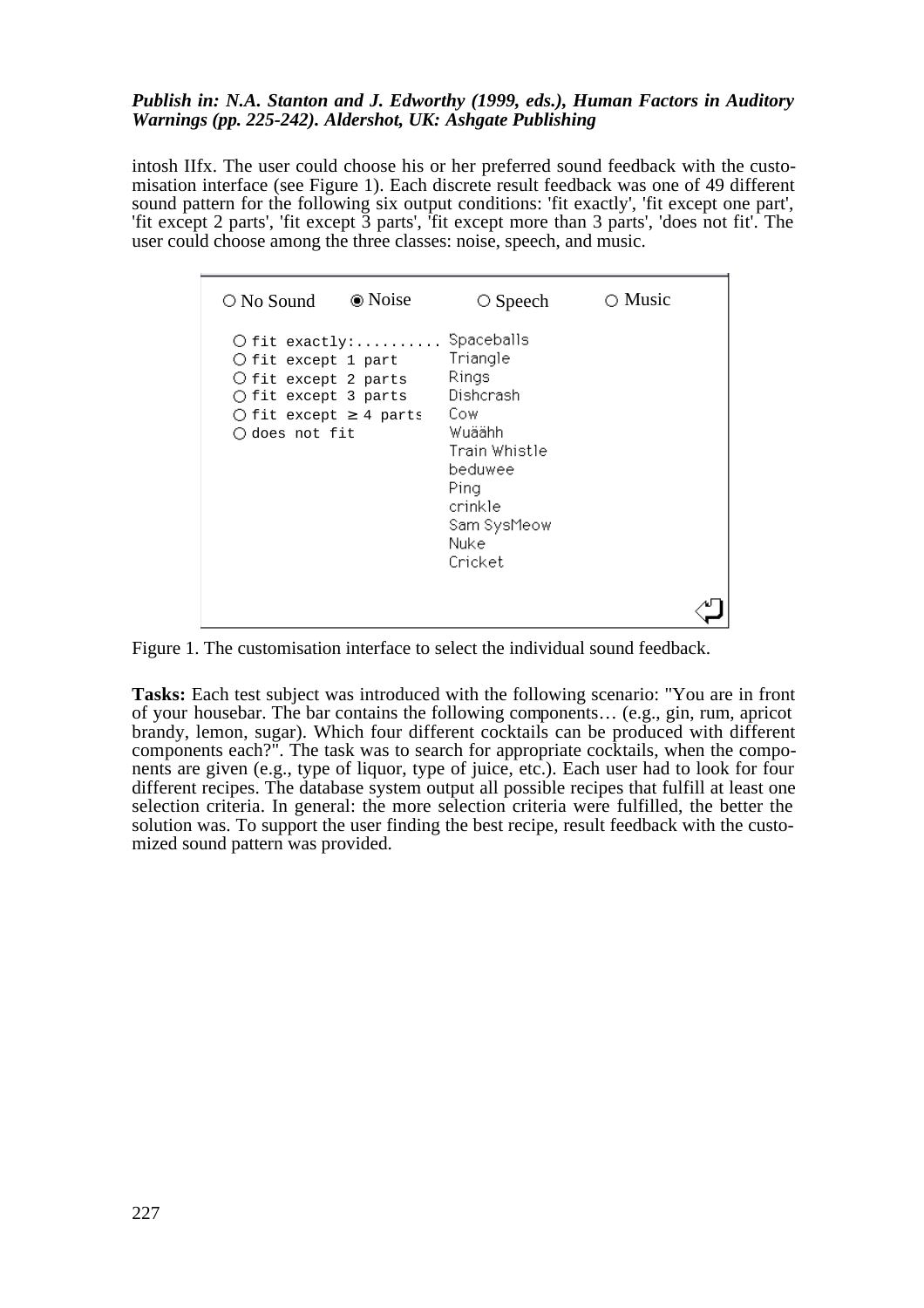intosh IIfx. The user could choose his or her preferred sound feedback with the customisation interface (see Figure 1). Each discrete result feedback was one of 49 different sound pattern for the following six output conditions: 'fit exactly', 'fit except one part', 'fit except 2 parts', 'fit except 3 parts', 'fit except more than 3 parts', 'does not fit'. The user could choose among the three classes: noise, speech, and music.

| $\circ$ No Sound                                                                                                                            | <b>■</b> Noise | $\circ$ Speech                                                                                                                                  | $\circ$ Music |
|---------------------------------------------------------------------------------------------------------------------------------------------|----------------|-------------------------------------------------------------------------------------------------------------------------------------------------|---------------|
| $O$ fit exactly:<br>O fit except 1 part<br>Ofit except 2 parts<br>$O$ fit except 3 parts<br>$O$ fit except $\geq 4$ parts<br>○ does not fit |                | Spaceballs<br>Triangle<br>Rings<br>Dishcrash<br>Cow<br>Wuäähh<br>Train Whistle<br>beduwee<br>Pina<br>crinkle<br>Sam SysMeow<br>Nukel<br>Cricket |               |
|                                                                                                                                             |                |                                                                                                                                                 |               |

Figure 1. The customisation interface to select the individual sound feedback.

**Tasks:** Each test subject was introduced with the following scenario: "You are in front of your housebar. The bar contains the following components… (e.g., gin, rum, apricot brandy, lemon, sugar). Which four different cocktails can be produced with different components each?". The task was to search for appropriate cocktails, when the components are given (e.g., type of liquor, type of juice, etc.). Each user had to look for four different recipes. The database system output all possible recipes that fulfill at least one selection criteria. In general: the more selection criteria were fulfilled, the better the solution was. To support the user finding the best recipe, result feedback with the customized sound pattern was provided.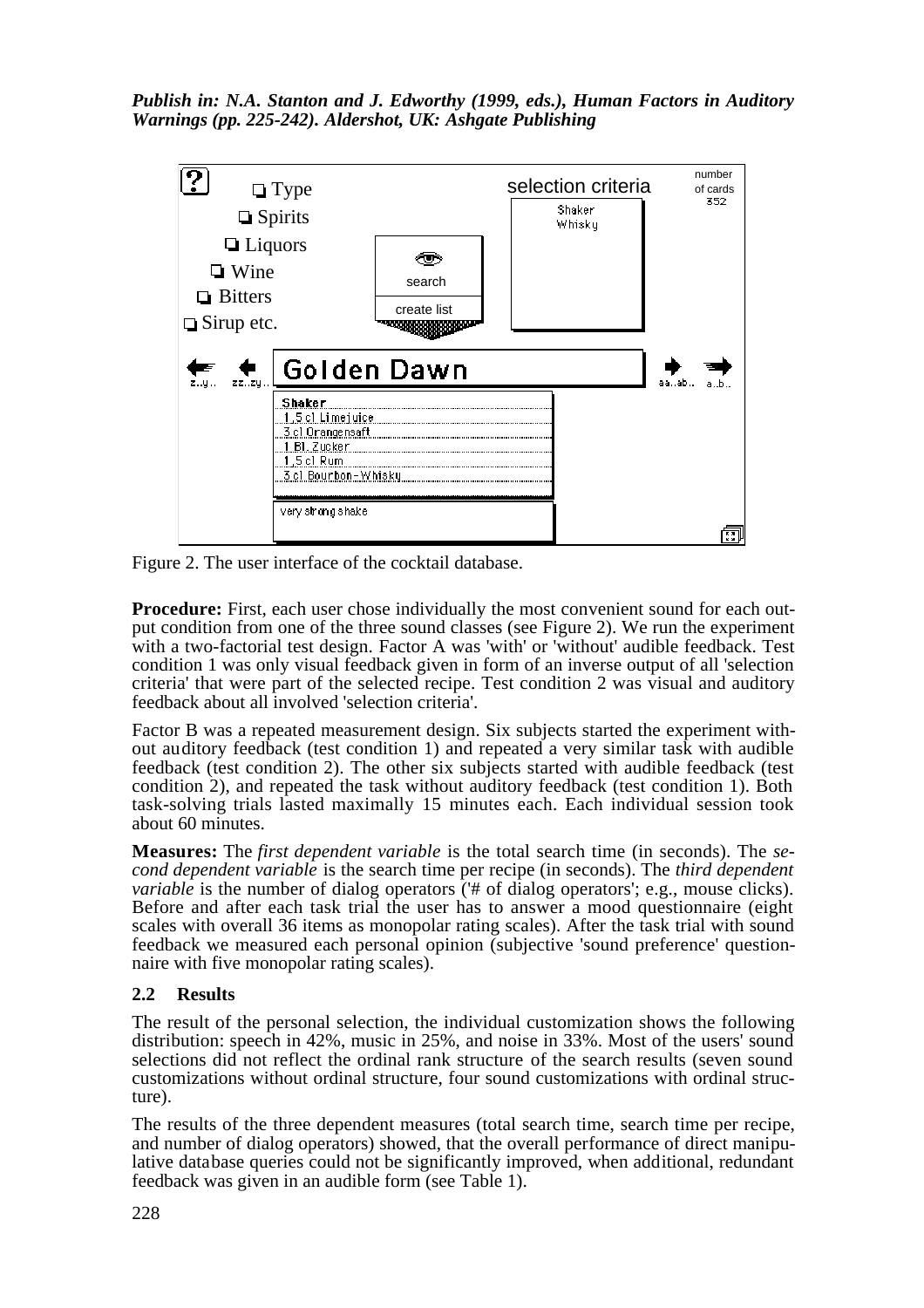*Publish in: N.A. Stanton and J. Edworthy (1999, eds.), Human Factors in Auditory Warnings (pp. 225-242). Aldershot, UK: Ashgate Publishing*



Figure 2. The user interface of the cocktail database.

**Procedure:** First, each user chose individually the most convenient sound for each output condition from one of the three sound classes (see Figure 2). We run the experiment with a two-factorial test design. Factor A was 'with' or 'without' audible feedback. Test condition 1 was only visual feedback given in form of an inverse output of all 'selection criteria' that were part of the selected recipe. Test condition 2 was visual and auditory feedback about all involved 'selection criteria'.

Factor B was a repeated measurement design. Six subjects started the experiment without auditory feedback (test condition 1) and repeated a very similar task with audible feedback (test condition 2). The other six subjects started with audible feedback (test condition 2), and repeated the task without auditory feedback (test condition 1). Both task-solving trials lasted maximally 15 minutes each. Each individual session took about 60 minutes.

**Measures:** The *first dependent variable* is the total search time (in seconds). The *second dependent variable* is the search time per recipe (in seconds). The *third dependent variable* is the number of dialog operators ('# of dialog operators'; e.g., mouse clicks). Before and after each task trial the user has to answer a mood questionnaire (eight scales with overall 36 items as monopolar rating scales). After the task trial with sound feedback we measured each personal opinion (subjective 'sound preference' questionnaire with five monopolar rating scales).

#### **2.2 Results**

The result of the personal selection, the individual customization shows the following distribution: speech in 42%, music in 25%, and noise in 33%. Most of the users' sound selections did not reflect the ordinal rank structure of the search results (seven sound customizations without ordinal structure, four sound customizations with ordinal structure).

The results of the three dependent measures (total search time, search time per recipe, and number of dialog operators) showed, that the overall performance of direct manipulative database queries could not be significantly improved, when additional, redundant feedback was given in an audible form (see Table 1).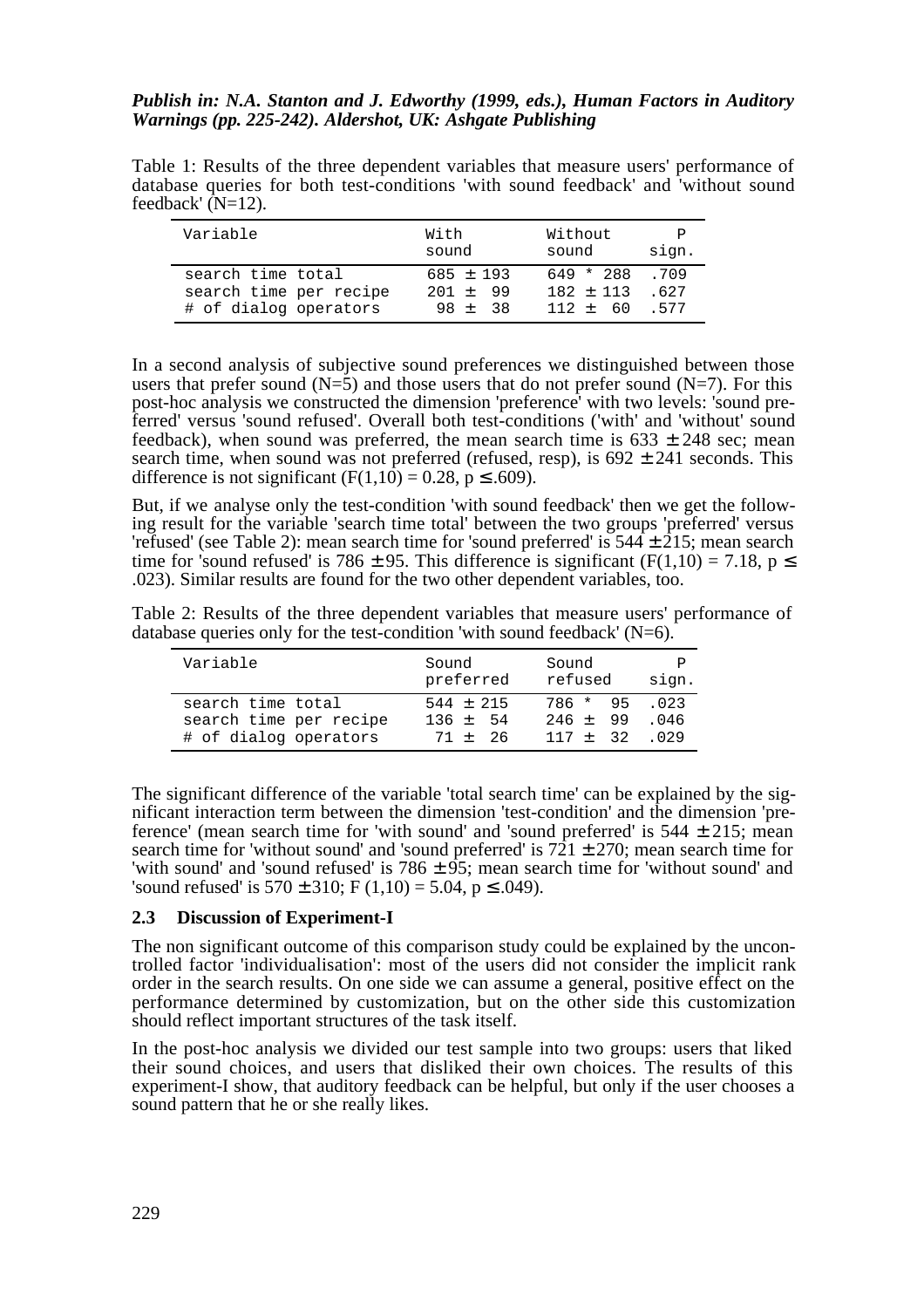Table 1: Results of the three dependent variables that measure users' performance of database queries for both test-conditions 'with sound feedback' and 'without sound feedback'  $(N=12)$ .

| Variable               | With<br>sound | Without<br>sound | sign. |
|------------------------|---------------|------------------|-------|
| search time total      | $685 \pm 193$ | $649 * 288$      | .709  |
| search time per recipe | $201 + 99$    | $182 + 113$      | .627  |
| # of dialog operators  | $98 + 38$     | $112 + 60$       | 577   |

In a second analysis of subjective sound preferences we distinguished between those users that prefer sound  $(N=5)$  and those users that do not prefer sound  $(N=7)$ . For this post-hoc analysis we constructed the dimension 'preference' with two levels: 'sound preferred' versus 'sound refused'. Overall both test-conditions ('with' and 'without' sound feedback), when sound was preferred, the mean search time is  $633 \pm 248$  sec; mean search time, when sound was not preferred (refused, resp), is  $692 \pm 241$  seconds. This difference is not significant  $(F(1,10) = 0.28, p \le .609)$ .

But, if we analyse only the test-condition 'with sound feedback' then we get the following result for the variable 'search time total' between the two groups 'preferred' versus 'refused' (see Table 2): mean search time for 'sound preferred' is  $544 \pm 215$ ; mean search time for 'sound refused' is 786 ± 95. This difference is significant (F(1,10) = 7.18, p  $\leq$ .023). Similar results are found for the two other dependent variables, too.

Table 2: Results of the three dependent variables that measure users' performance of database queries only for the test-condition 'with sound feedback'  $(N=6)$ .

| Variable                                                             | Sound                                       | Sound                                   | P                    |
|----------------------------------------------------------------------|---------------------------------------------|-----------------------------------------|----------------------|
|                                                                      | preferred                                   | refused                                 | sign.                |
| search time total<br>search time per recipe<br># of dialog operators | $544 \pm 215$<br>$136 +$<br>54<br>$71 + 26$ | 786 *<br>95<br>$246 + 99$<br>$117 + 32$ | .023<br>. 046<br>029 |

The significant difference of the variable 'total search time' can be explained by the significant interaction term between the dimension 'test-condition' and the dimension 'preference' (mean search time for 'with sound' and 'sound preferred' is  $544 \pm 215$ ; mean search time for 'without sound' and 'sound preferred' is  $721 \pm 270$ ; mean search time for 'with sound' and 'sound refused' is  $786 \pm 95$ ; mean search time for 'without sound' and 'sound refused' is  $570 \pm 310$ ; F (1,10) = 5.04, p ≤ .049).

#### **2.3 Discussion of Experiment-I**

The non significant outcome of this comparison study could be explained by the uncontrolled factor 'individualisation': most of the users did not consider the implicit rank order in the search results. On one side we can assume a general, positive effect on the performance determined by customization, but on the other side this customization should reflect important structures of the task itself.

In the post-hoc analysis we divided our test sample into two groups: users that liked their sound choices, and users that disliked their own choices. The results of this experiment-I show, that auditory feedback can be helpful, but only if the user chooses a sound pattern that he or she really likes.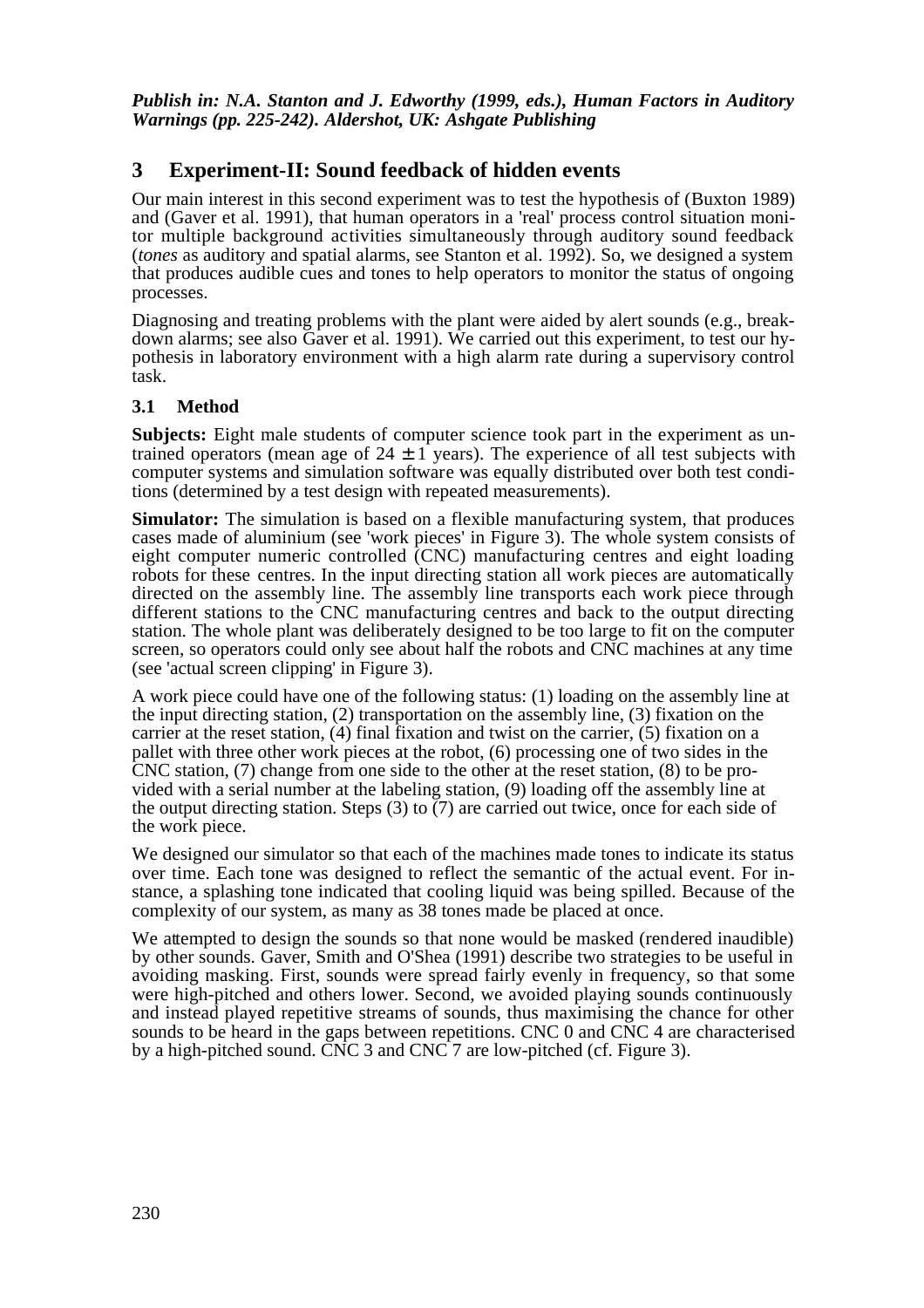## **3 Experiment-II: Sound feedback of hidden events**

Our main interest in this second experiment was to test the hypothesis of (Buxton 1989) and (Gaver et al. 1991), that human operators in a 'real' process control situation monitor multiple background activities simultaneously through auditory sound feedback (*tones* as auditory and spatial alarms, see Stanton et al. 1992). So, we designed a system that produces audible cues and tones to help operators to monitor the status of ongoing processes.

Diagnosing and treating problems with the plant were aided by alert sounds (e.g., breakdown alarms; see also Gaver et al. 1991). We carried out this experiment, to test our hypothesis in laboratory environment with a high alarm rate during a supervisory control task.

### **3.1 Method**

**Subjects:** Eight male students of computer science took part in the experiment as untrained operators (mean age of  $24 \pm 1$  years). The experience of all test subjects with computer systems and simulation software was equally distributed over both test conditions (determined by a test design with repeated measurements).

**Simulator:** The simulation is based on a flexible manufacturing system, that produces cases made of aluminium (see 'work pieces' in Figure 3). The whole system consists of eight computer numeric controlled (CNC) manufacturing centres and eight loading robots for these centres. In the input directing station all work pieces are automatically directed on the assembly line. The assembly line transports each work piece through different stations to the CNC manufacturing centres and back to the output directing station. The whole plant was deliberately designed to be too large to fit on the computer screen, so operators could only see about half the robots and CNC machines at any time (see 'actual screen clipping' in Figure 3).

A work piece could have one of the following status: (1) loading on the assembly line at the input directing station, (2) transportation on the assembly line, (3) fixation on the carrier at the reset station, (4) final fixation and twist on the carrier, (5) fixation on a pallet with three other work pieces at the robot, (6) processing one of two sides in the CNC station, (7) change from one side to the other at the reset station, (8) to be provided with a serial number at the labeling station, (9) loading off the assembly line at the output directing station. Steps (3) to  $\overline{7}$  are carried out twice, once for each side of the work piece.

We designed our simulator so that each of the machines made tones to indicate its status over time. Each tone was designed to reflect the semantic of the actual event. For instance, a splashing tone indicated that cooling liquid was being spilled. Because of the complexity of our system, as many as 38 tones made be placed at once.

We attempted to design the sounds so that none would be masked (rendered inaudible) by other sounds. Gaver, Smith and O'Shea (1991) describe two strategies to be useful in avoiding masking. First, sounds were spread fairly evenly in frequency, so that some were high-pitched and others lower. Second, we avoided playing sounds continuously and instead played repetitive streams of sounds, thus maximising the chance for other sounds to be heard in the gaps between repetitions. CNC 0 and CNC 4 are characterised by a high-pitched sound. CNC 3 and CNC 7 are low-pitched (cf. Figure 3).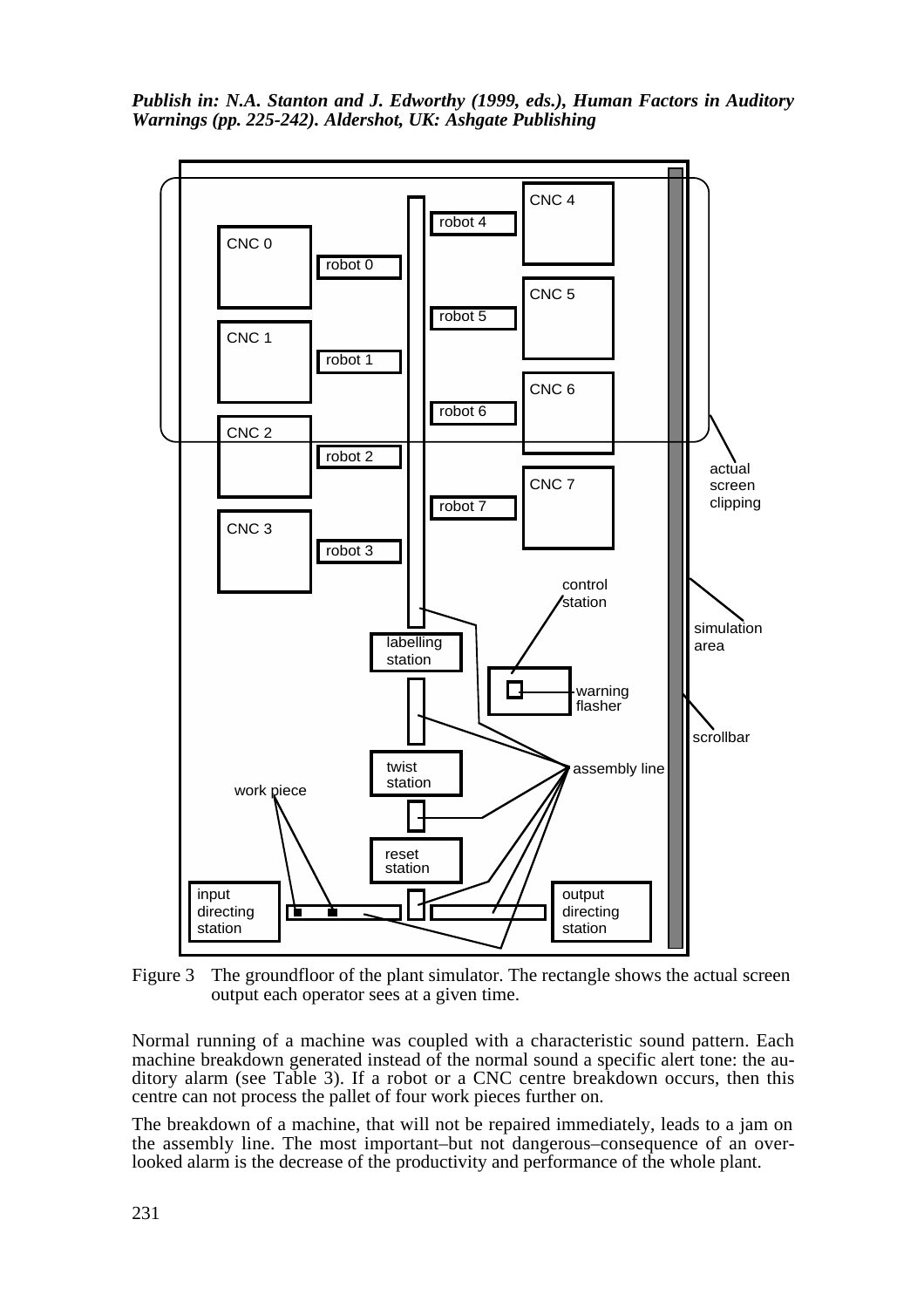

Figure 3 The groundfloor of the plant simulator. The rectangle shows the actual screen output each operator sees at a given time.

Normal running of a machine was coupled with a characteristic sound pattern. Each machine breakdown generated instead of the normal sound a specific alert tone: the auditory alarm (see Table 3). If a robot or a CNC centre breakdown occurs, then this centre can not process the pallet of four work pieces further on.

The breakdown of a machine, that will not be repaired immediately, leads to a jam on the assembly line. The most important–but not dangerous–consequence of an overlooked alarm is the decrease of the productivity and performance of the whole plant.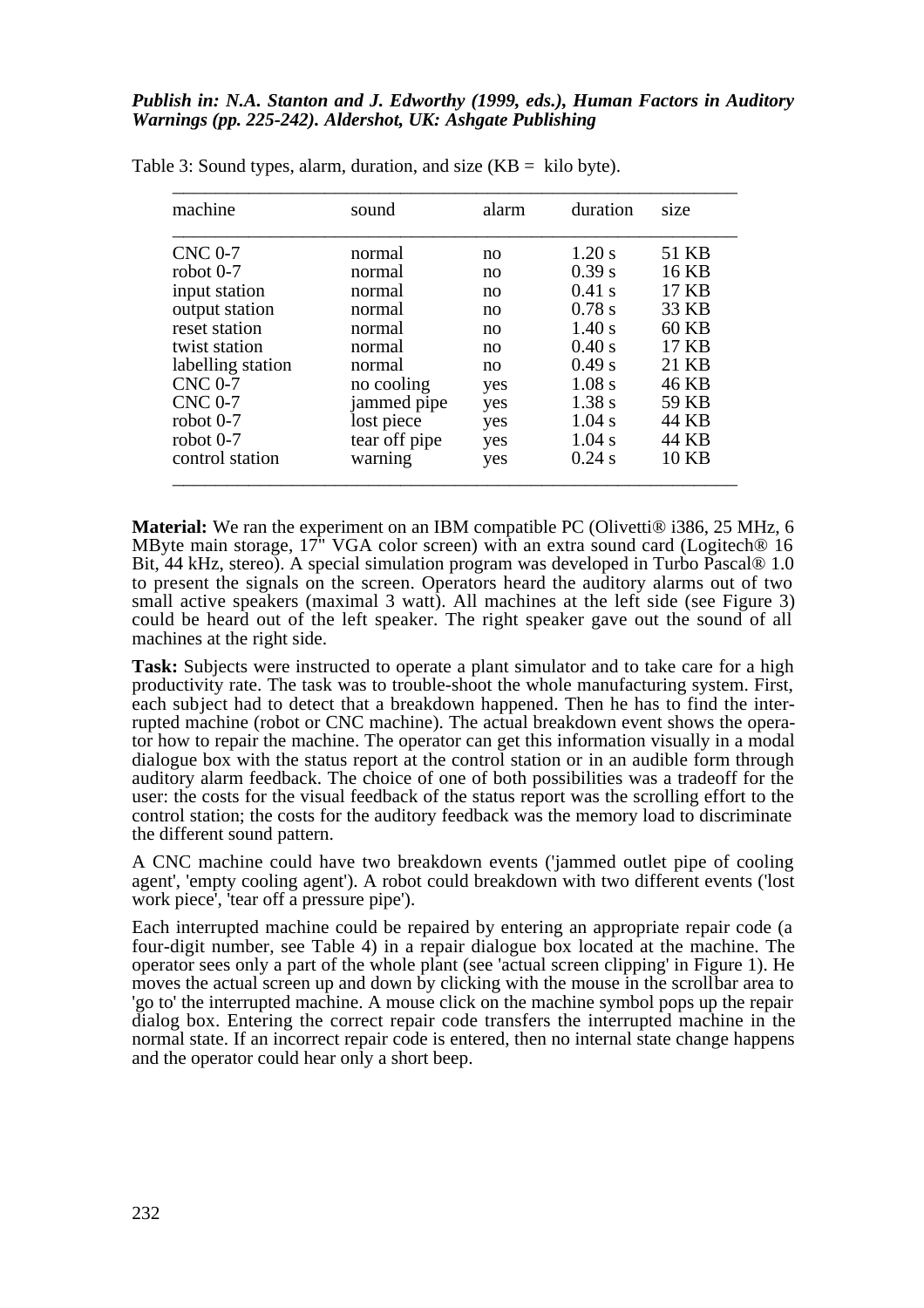| machine           | sound         | alarm | duration | size  |
|-------------------|---------------|-------|----------|-------|
| $CNC 0-7$         | normal        | no    | 1.20 s   | 51 KB |
| robot $0-7$       | normal        | no    | 0.39 s   | 16 KB |
| input station     | normal        | no    | $0.41$ s | 17 KB |
| output station    | normal        | no    | 0.78 s   | 33 KB |
| reset station     | normal        | no    | 1.40 s   | 60 KB |
| twist station     | normal        | no    | 0.40 s   | 17 KB |
| labelling station | normal        | no    | 0.49 s   | 21 KB |
| $CNC 0-7$         | no cooling    | yes   | 1.08 s   | 46 KB |
| $CNC 0-7$         | jammed pipe   | yes   | 1.38 s   | 59 KB |
| robot $0-7$       | lost piece    | yes   | $1.04$ s | 44 KB |
| robot $0-7$       | tear off pipe | yes   | $1.04$ s | 44 KB |
| control station   | warning       | yes   | $0.24$ s | 10 KB |

Table 3: Sound types, alarm, duration, and size  $(KB =$  kilo byte).

**Material:** We ran the experiment on an IBM compatible PC (Olivetti® i386, 25 MHz, 6 MByte main storage, 17" VGA color screen) with an extra sound card (Logitech® 16 Bit, 44 kHz, stereo). A special simulation program was developed in Turbo Pascal® 1.0 to present the signals on the screen. Operators heard the auditory alarms out of two small active speakers (maximal 3 watt). All machines at the left side (see Figure 3) could be heard out of the left speaker. The right speaker gave out the sound of all machines at the right side.

**Task:** Subjects were instructed to operate a plant simulator and to take care for a high productivity rate. The task was to trouble-shoot the whole manufacturing system. First, each subject had to detect that a breakdown happened. Then he has to find the interrupted machine (robot or CNC machine). The actual breakdown event shows the operator how to repair the machine. The operator can get this information visually in a modal dialogue box with the status report at the control station or in an audible form through auditory alarm feedback. The choice of one of both possibilities was a tradeoff for the user: the costs for the visual feedback of the status report was the scrolling effort to the control station; the costs for the auditory feedback was the memory load to discriminate the different sound pattern.

A CNC machine could have two breakdown events ('jammed outlet pipe of cooling agent', 'empty cooling agent'). A robot could breakdown with two different events ('lost work piece', 'tear off a pressure pipe').

Each interrupted machine could be repaired by entering an appropriate repair code (a four-digit number, see Table 4) in a repair dialogue box located at the machine. The operator sees only a part of the whole plant (see 'actual screen clipping' in Figure 1). He moves the actual screen up and down by clicking with the mouse in the scrollbar area to 'go to' the interrupted machine. A mouse click on the machine symbol pops up the repair dialog box. Entering the correct repair code transfers the interrupted machine in the normal state. If an incorrect repair code is entered, then no internal state change happens and the operator could hear only a short beep.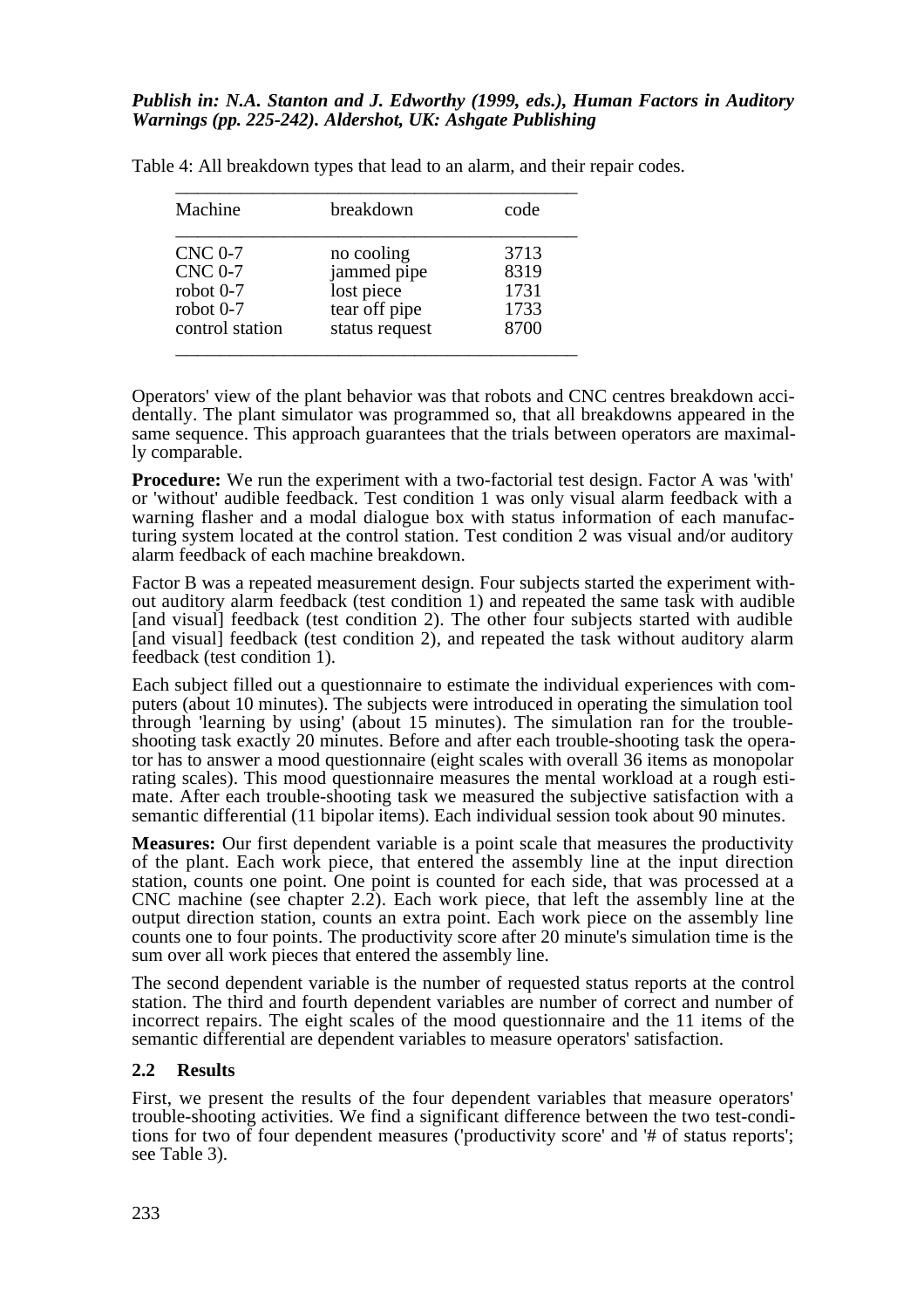| Machine         | breakdown      | code |
|-----------------|----------------|------|
| $CNC 0-7$       | no cooling     | 3713 |
| $CNC 0-7$       | jammed pipe    | 8319 |
| robot $0-7$     | lost piece     | 1731 |
| robot $0-7$     | tear off pipe  | 1733 |
| control station | status request | 8700 |

Table 4: All breakdown types that lead to an alarm, and their repair codes.

Operators' view of the plant behavior was that robots and CNC centres breakdown accidentally. The plant simulator was programmed so, that all breakdowns appeared in the same sequence. This approach guarantees that the trials between operators are maximally comparable.

**Procedure:** We run the experiment with a two-factorial test design. Factor A was 'with' or 'without' audible feedback. Test condition 1 was only visual alarm feedback with a warning flasher and a modal dialogue box with status information of each manufacturing system located at the control station. Test condition 2 was visual and/or auditory alarm feedback of each machine breakdown.

Factor B was a repeated measurement design. Four subjects started the experiment without auditory alarm feedback (test condition 1) and repeated the same task with audible [and visual] feedback (test condition 2). The other four subjects started with audible [and visual] feedback (test condition 2), and repeated the task without auditory alarm feedback (test condition 1).

Each subject filled out a questionnaire to estimate the individual experiences with computers (about 10 minutes). The subjects were introduced in operating the simulation tool through 'learning by using' (about 15 minutes). The simulation ran for the troubleshooting task exactly 20 minutes. Before and after each trouble-shooting task the operator has to answer a mood questionnaire (eight scales with overall 36 items as monopolar rating scales). This mood questionnaire measures the mental workload at a rough estimate. After each trouble-shooting task we measured the subjective satisfaction with a semantic differential (11 bipolar items). Each individual session took about 90 minutes.

**Measures:** Our first dependent variable is a point scale that measures the productivity of the plant. Each work piece, that entered the assembly line at the input direction station, counts one point. One point is counted for each side, that was processed at a CNC machine (see chapter 2.2). Each work piece, that left the assembly line at the output direction station, counts an extra point. Each work piece on the assembly line counts one to four points. The productivity score after 20 minute's simulation time is the sum over all work pieces that entered the assembly line.

The second dependent variable is the number of requested status reports at the control station. The third and fourth dependent variables are number of correct and number of incorrect repairs. The eight scales of the mood questionnaire and the 11 items of the semantic differential are dependent variables to measure operators' satisfaction.

#### **2.2 Results**

First, we present the results of the four dependent variables that measure operators' trouble-shooting activities. We find a significant difference between the two test-conditions for two of four dependent measures ('productivity score' and '# of status reports'; see Table 3).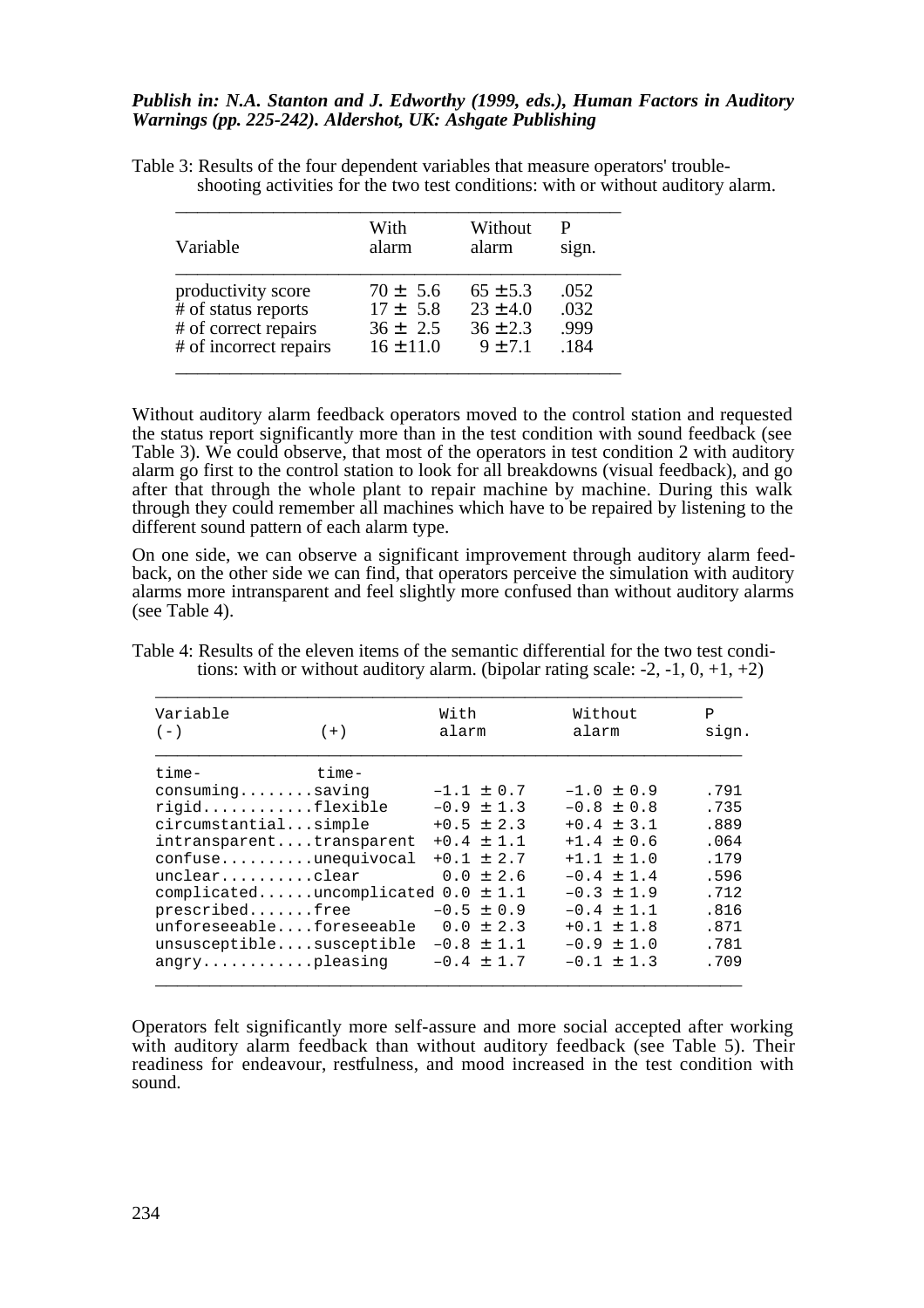| Variable               | With<br>alarm | Without<br>alarm | sign. |
|------------------------|---------------|------------------|-------|
| productivity score     | $70 + 5.6$    | $65 + 5.3$       | .052  |
| # of status reports    | $17 \pm 5.8$  | $23 \pm 4.0$     | .032  |
| # of correct repairs   | $36 \pm 2.5$  | $36 \pm 2.3$     | .999  |
| # of incorrect repairs | $16 \pm 11.0$ | $9 \pm 7.1$      | .184  |

Table 3: Results of the four dependent variables that measure operators' troubleshooting activities for the two test conditions: with or without auditory alarm.

Without auditory alarm feedback operators moved to the control station and requested the status report significantly more than in the test condition with sound feedback (see Table 3). We could observe, that most of the operators in test condition 2 with auditory alarm go first to the control station to look for all breakdowns (visual feedback), and go after that through the whole plant to repair machine by machine. During this walk through they could remember all machines which have to be repaired by listening to the different sound pattern of each alarm type.

On one side, we can observe a significant improvement through auditory alarm feedback, on the other side we can find, that operators perceive the simulation with auditory alarms more intransparent and feel slightly more confused than without auditory alarms (see Table 4).

|  |  |  | Table 4: Results of the eleven items of the semantic differential for the two test condi-       |  |  |
|--|--|--|-------------------------------------------------------------------------------------------------|--|--|
|  |  |  | tions: with or without auditory alarm. (bipolar rating scale: $-2$ , $-1$ , $0$ , $+1$ , $+2$ ) |  |  |

| Variable                 |                                                            | With           | Without        | P     |
|--------------------------|------------------------------------------------------------|----------------|----------------|-------|
| $(-)$                    | $(+)$                                                      | alarm          | alarm          | sign. |
| time-                    | time-                                                      |                |                |       |
| $consuming$ saving       |                                                            | $-1.1 \pm 0.7$ | $-1.0 \pm 0.9$ | .791  |
| rigidflexible            |                                                            | $-0.9 \pm 1.3$ | $-0.8 \pm 0.8$ | .735  |
| circumstantialsimple     |                                                            | $+0.5 \pm 2.3$ | $+0.4 \pm 3.1$ | .889  |
|                          | intransparenttransparent                                   | $+0.4 \pm 1.1$ | $+1.4 \pm 0.6$ | .064  |
|                          | confuseunequivocal                                         | $+0.1 \pm 2.7$ | $+1.1 \pm 1.0$ | .179  |
| $unclear \ldots$ $clear$ |                                                            | $0.0 \pm 2.6$  | $-0.4 \pm 1.4$ | .596  |
|                          | complicateduncomplicated $0.0 \pm 1.1$                     |                | $-0.3 \pm 1.9$ | .712  |
| $prescribed$ free        |                                                            | $-0.5 \pm 0.9$ | $-0.4 \pm 1.1$ | .816  |
|                          | unforeseeableforeseeable $0.0 \pm 2.3$                     |                | $+0.1 \pm 1.8$ | .871  |
|                          | unsusceptiblesusceptible $-0.8 \pm 1.1$                    |                | $-0.9 \pm 1.0$ | .781  |
|                          | $\texttt{angry} \dots \dots \dots \dots \texttt{pleasing}$ | $-0.4 \pm 1.7$ | $-0.1 \pm 1.3$ | .709  |

Operators felt significantly more self-assure and more social accepted after working with auditory alarm feedback than without auditory feedback (see Table 5). Their readiness for endeavour, restfulness, and mood increased in the test condition with sound.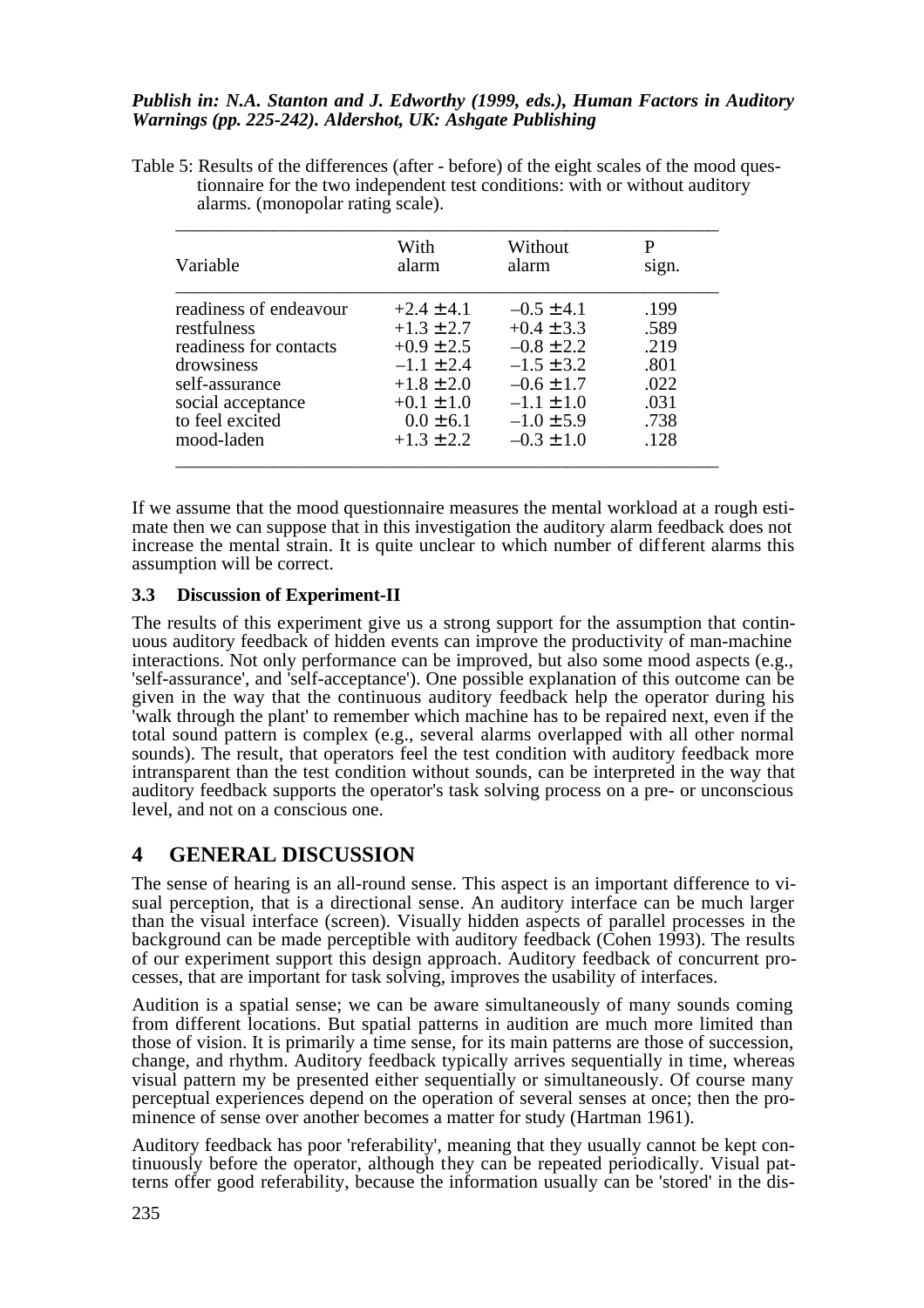Table 5: Results of the differences (after - before) of the eight scales of the mood questionnaire for the two independent test conditions: with or without auditory alarms. (monopolar rating scale).

| Variable               | With<br>alarm  | Without<br>alarm | P<br>sign. |
|------------------------|----------------|------------------|------------|
| readiness of endeavour | $+2.4 \pm 4.1$ | $-0.5 \pm 4.1$   | .199       |
| restfulness            | $+1.3 \pm 2.7$ | $+0.4 \pm 3.3$   | .589       |
| readiness for contacts | $+0.9 \pm 2.5$ | $-0.8 \pm 2.2$   | .219       |
| drowsiness             | $-1.1 \pm 2.4$ | $-1.5 \pm 3.2$   | .801       |
| self-assurance         | $+1.8 \pm 2.0$ | $-0.6 \pm 1.7$   | .022       |
| social acceptance      | $+0.1 \pm 1.0$ | $-1.1 \pm 1.0$   | .031       |
| to feel excited        | $0.0 \pm 6.1$  | $-1.0 \pm 5.9$   | .738       |
| mood-laden             | $+1.3 \pm 2.2$ | $-0.3 \pm 1.0$   | .128       |

If we assume that the mood questionnaire measures the mental workload at a rough estimate then we can suppose that in this investigation the auditory alarm feedback does not increase the mental strain. It is quite unclear to which number of different alarms this assumption will be correct.

### **3.3 Discussion of Experiment-II**

The results of this experiment give us a strong support for the assumption that continuous auditory feedback of hidden events can improve the productivity of man-machine interactions. Not only performance can be improved, but also some mood aspects (e.g., 'self-assurance', and 'self-acceptance'). One possible explanation of this outcome can be given in the way that the continuous auditory feedback help the operator during his 'walk through the plant' to remember which machine has to be repaired next, even if the total sound pattern is complex (e.g., several alarms overlapped with all other normal sounds). The result, that operators feel the test condition with auditory feedback more intransparent than the test condition without sounds, can be interpreted in the way that auditory feedback supports the operator's task solving process on a pre- or unconscious level, and not on a conscious one.

### **4 GENERAL DISCUSSION**

The sense of hearing is an all-round sense. This aspect is an important difference to visual perception, that is a directional sense. An auditory interface can be much larger than the visual interface (screen). Visually hidden aspects of parallel processes in the background can be made perceptible with auditory feedback (Cohen 1993). The results of our experiment support this design approach. Auditory feedback of concurrent processes, that are important for task solving, improves the usability of interfaces.

Audition is a spatial sense; we can be aware simultaneously of many sounds coming from different locations. But spatial patterns in audition are much more limited than those of vision. It is primarily a time sense, for its main patterns are those of succession, change, and rhythm. Auditory feedback typically arrives sequentially in time, whereas visual pattern my be presented either sequentially or simultaneously. Of course many perceptual experiences depend on the operation of several senses at once; then the prominence of sense over another becomes a matter for study (Hartman 1961).

Auditory feedback has poor 'referability', meaning that they usually cannot be kept continuously before the operator, although they can be repeated periodically. Visual patterns offer good referability, because the information usually can be 'stored' in the dis-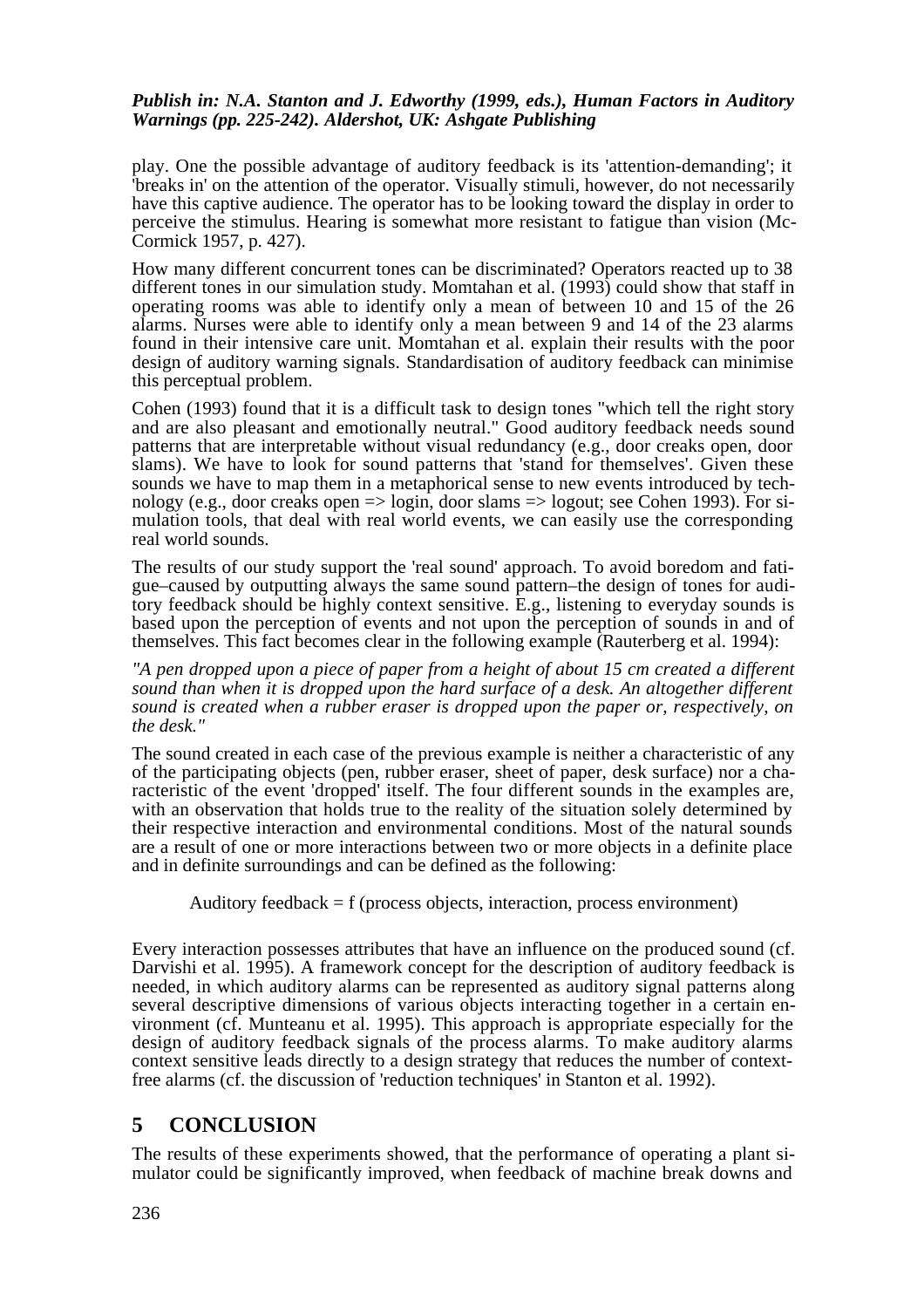play. One the possible advantage of auditory feedback is its 'attention-demanding'; it 'breaks in' on the attention of the operator. Visually stimuli, however, do not necessarily have this captive audience. The operator has to be looking toward the display in order to perceive the stimulus. Hearing is somewhat more resistant to fatigue than vision (Mc-Cormick 1957, p. 427).

How many different concurrent tones can be discriminated? Operators reacted up to 38 different tones in our simulation study. Momtahan et al. (1993) could show that staff in operating rooms was able to identify only a mean of between 10 and 15 of the 26 alarms. Nurses were able to identify only a mean between 9 and 14 of the 23 alarms found in their intensive care unit. Momtahan et al. explain their results with the poor design of auditory warning signals. Standardisation of auditory feedback can minimise this perceptual problem.

Cohen (1993) found that it is a difficult task to design tones "which tell the right story and are also pleasant and emotionally neutral." Good auditory feedback needs sound patterns that are interpretable without visual redundancy (e.g., door creaks open, door slams). We have to look for sound patterns that 'stand for themselves'. Given these sounds we have to map them in a metaphorical sense to new events introduced by technology (e.g., door creaks open => login, door slams => logout; see Cohen 1993). For simulation tools, that deal with real world events, we can easily use the corresponding real world sounds.

The results of our study support the 'real sound' approach. To avoid boredom and fatigue–caused by outputting always the same sound pattern–the design of tones for auditory feedback should be highly context sensitive. E.g., listening to everyday sounds is based upon the perception of events and not upon the perception of sounds in and of themselves. This fact becomes clear in the following example (Rauterberg et al. 1994):

*"A pen dropped upon a piece of paper from a height of about 15 cm created a different sound than when it is dropped upon the hard surface of a desk. An altogether different sound is created when a rubber eraser is dropped upon the paper or, respectively, on the desk."*

The sound created in each case of the previous example is neither a characteristic of any of the participating objects (pen, rubber eraser, sheet of paper, desk surface) nor a characteristic of the event 'dropped' itself. The four different sounds in the examples are, with an observation that holds true to the reality of the situation solely determined by their respective interaction and environmental conditions. Most of the natural sounds are a result of one or more interactions between two or more objects in a definite place and in definite surroundings and can be defined as the following:

Auditory feedback  $= f$  (process objects, interaction, process environment)

Every interaction possesses attributes that have an influence on the produced sound (cf. Darvishi et al. 1995). A framework concept for the description of auditory feedback is needed, in which auditory alarms can be represented as auditory signal patterns along several descriptive dimensions of various objects interacting together in a certain environment (cf. Munteanu et al. 1995). This approach is appropriate especially for the design of auditory feedback signals of the process alarms. To make auditory alarms context sensitive leads directly to a design strategy that reduces the number of contextfree alarms (cf. the discussion of 'reduction techniques' in Stanton et al. 1992).

# **5 CONCLUSION**

The results of these experiments showed, that the performance of operating a plant simulator could be significantly improved, when feedback of machine break downs and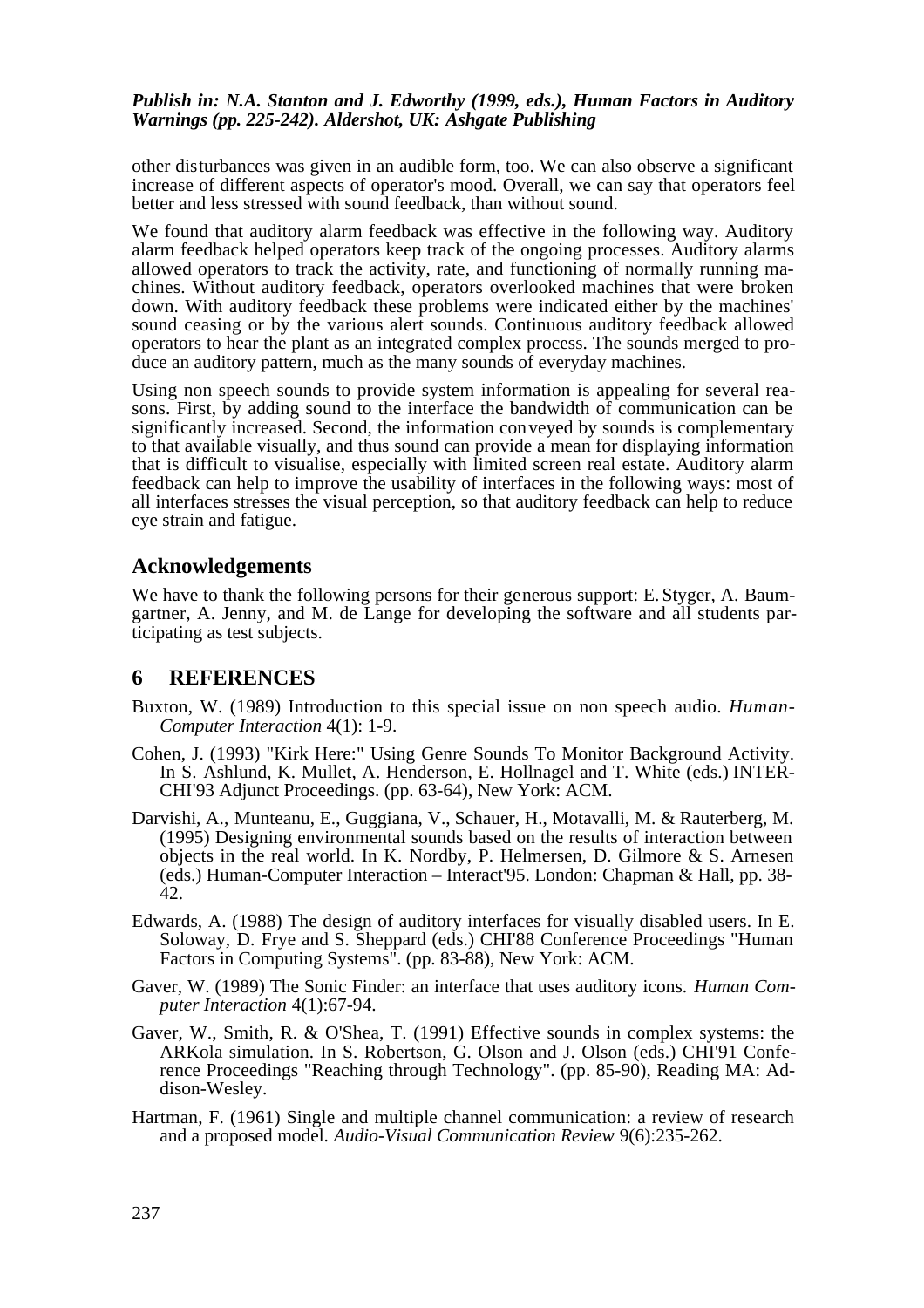other disturbances was given in an audible form, too. We can also observe a significant increase of different aspects of operator's mood. Overall, we can say that operators feel better and less stressed with sound feedback, than without sound.

We found that auditory alarm feedback was effective in the following way. Auditory alarm feedback helped operators keep track of the ongoing processes. Auditory alarms allowed operators to track the activity, rate, and functioning of normally running machines. Without auditory feedback, operators overlooked machines that were broken down. With auditory feedback these problems were indicated either by the machines' sound ceasing or by the various alert sounds. Continuous auditory feedback allowed operators to hear the plant as an integrated complex process. The sounds merged to produce an auditory pattern, much as the many sounds of everyday machines.

Using non speech sounds to provide system information is appealing for several reasons. First, by adding sound to the interface the bandwidth of communication can be significantly increased. Second, the information conveyed by sounds is complementary to that available visually, and thus sound can provide a mean for displaying information that is difficult to visualise, especially with limited screen real estate. Auditory alarm feedback can help to improve the usability of interfaces in the following ways: most of all interfaces stresses the visual perception, so that auditory feedback can help to reduce eye strain and fatigue.

### **Acknowledgements**

We have to thank the following persons for their generous support: E. Styger, A. Baumgartner, A. Jenny, and M. de Lange for developing the software and all students participating as test subjects.

### **6 REFERENCES**

- Buxton, W. (1989) Introduction to this special issue on non speech audio. *Human-Computer Interaction* 4(1): 1-9.
- Cohen, J. (1993) "Kirk Here:" Using Genre Sounds To Monitor Background Activity. In S. Ashlund, K. Mullet, A. Henderson, E. Hollnagel and T. White (eds.) INTER-CHI'93 Adjunct Proceedings. (pp. 63-64), New York: ACM.
- Darvishi, A., Munteanu, E., Guggiana, V., Schauer, H., Motavalli, M. & Rauterberg, M. (1995) Designing environmental sounds based on the results of interaction between objects in the real world. In K. Nordby, P. Helmersen, D. Gilmore & S. Arnesen (eds.) Human-Computer Interaction – Interact'95. London: Chapman & Hall, pp. 38- 42.
- Edwards, A. (1988) The design of auditory interfaces for visually disabled users. In E. Soloway, D. Frye and S. Sheppard (eds.) CHI'88 Conference Proceedings "Human Factors in Computing Systems". (pp. 83-88), New York: ACM.
- Gaver, W. (1989) The Sonic Finder: an interface that uses auditory icons. *Human Computer Interaction* 4(1):67-94.
- Gaver, W., Smith, R. & O'Shea, T. (1991) Effective sounds in complex systems: the ARKola simulation. In S. Robertson, G. Olson and J. Olson (eds.) CHI'91 Conference Proceedings "Reaching through Technology". (pp. 85-90), Reading MA: Addison-Wesley.
- Hartman, F. (1961) Single and multiple channel communication: a review of research and a proposed model. *Audio-Visual Communication Review* 9(6):235-262.